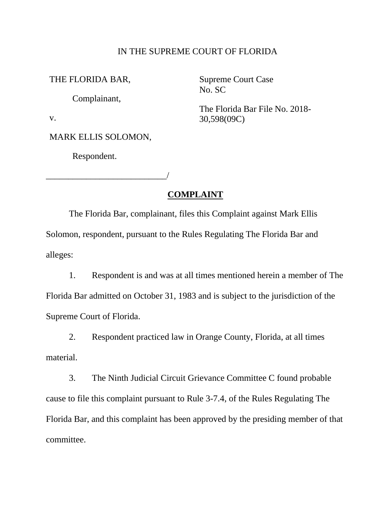#### IN THE SUPREME COURT OF FLORIDA

THE FLORIDA BAR, Supreme Court Case

Complainant,

No. SC

The Florida Bar File No. 2018-<br>v. 30,598(09C)

MARK ELLIS SOLOMON,

\_\_\_\_\_\_\_\_\_\_\_\_\_\_\_\_\_\_\_\_\_\_\_\_\_\_\_/

Respondent.

#### **COMPLAINT**

The Florida Bar, complainant, files this Complaint against Mark Ellis Solomon, respondent, pursuant to the Rules Regulating The Florida Bar and alleges:

1. Respondent is and was at all times mentioned herein a member of The Florida Bar admitted on October 31, 1983 and is subject to the jurisdiction of the Supreme Court of Florida.

2. Respondent practiced law in Orange County, Florida, at all times material.

 Florida Bar, and this complaint has been approved by the presiding member of that 3. The Ninth Judicial Circuit Grievance Committee C found probable cause to file this complaint pursuant to Rule 3-7.4, of the Rules Regulating The committee.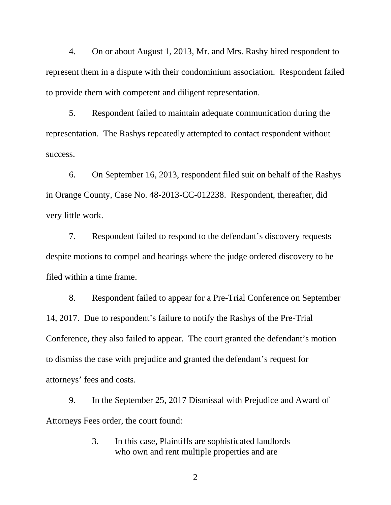represent them in a dispute with their condominium association. Respondent failed 4. On or about August 1, 2013, Mr. and Mrs. Rashy hired respondent to to provide them with competent and diligent representation.

5. Respondent failed to maintain adequate communication during the representation. The Rashys repeatedly attempted to contact respondent without success.

 6. On September 16, 2013, respondent filed suit on behalf of the Rashys in Orange County, Case No. 48-2013-CC-012238. Respondent, thereafter, did very little work.

 despite motions to compel and hearings where the judge ordered discovery to be filed within a time frame. 7. Respondent failed to respond to the defendant's discovery requests

filed within a time frame.<br>8. Respondent failed to appear for a Pre-Trial Conference on September 14, 2017. Due to respondent's failure to notify the Rashys of the Pre-Trial attorneys' fees and costs. Conference, they also failed to appear. The court granted the defendant's motion to dismiss the case with prejudice and granted the defendant's request for

 Attorneys Fees order, the court found: 9. In the September 25, 2017 Dismissal with Prejudice and Award of

> 3. In this case, Plaintiffs are sophisticated landlords who own and rent multiple properties and are

> > 2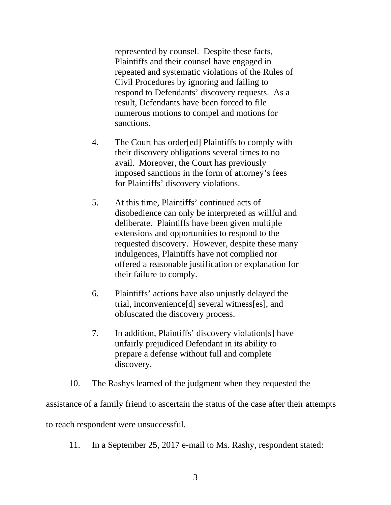represented by counsel. Despite these facts, Plaintiffs and their counsel have engaged in repeated and systematic violations of the Rules of Civil Procedures by ignoring and failing to respond to Defendants' discovery requests. As a result, Defendants have been forced to file numerous motions to compel and motions for sanctions.

- 4. The Court has order[ed] Plaintiffs to comply with their discovery obligations several times to no avail. Moreover, the Court has previously imposed sanctions in the form of attorney's fees for Plaintiffs' discovery violations.
- 5. At this time, Plaintiffs' continued acts of requested discovery. However, despite these many disobedience can only be interpreted as willful and deliberate. Plaintiffs have been given multiple extensions and opportunities to respond to the indulgences, Plaintiffs have not complied nor offered a reasonable justification or explanation for their failure to comply.
- 6. Plaintiffs' actions have also unjustly delayed the trial, inconvenience[d] several witness[es], and obfuscated the discovery process.
- 7. In addition, Plaintiffs' discovery violation[s] have unfairly prejudiced Defendant in its ability to prepare a defense without full and complete discovery.
- 10. The Rashys learned of the judgment when they requested the

assistance of a family friend to ascertain the status of the case after their attempts to reach respondent were unsuccessful.

11. In a September 25, 2017 e-mail to Ms. Rashy, respondent stated: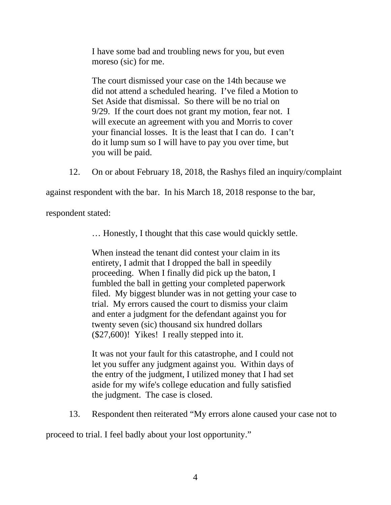moreso (sic) for me. I have some bad and troubling news for you, but even

 Set Aside that dismissal. So there will be no trial on 9/29. If the court does not grant my motion, fear not. I The court dismissed your case on the 14th because we did not attend a scheduled hearing. I've filed a Motion to will execute an agreement with you and Morris to cover your financial losses. It is the least that I can do. I can't do it lump sum so I will have to pay you over time, but you will be paid.

12. On or about February 18, 2018, the Rashys filed an inquiry/complaint

against respondent with the bar. In his March 18, 2018 response to the bar,

respondent stated:

… Honestly, I thought that this case would quickly settle.

 proceeding. When I finally did pick up the baton, I (\$27,600)! Yikes! I really stepped into it. When instead the tenant did contest your claim in its entirety, I admit that I dropped the ball in speedily fumbled the ball in getting your completed paperwork filed. My biggest blunder was in not getting your case to trial. My errors caused the court to dismiss your claim and enter a judgment for the defendant against you for twenty seven (sic) thousand six hundred dollars

 the entry of the judgment, I utilized money that I had set It was not your fault for this catastrophe, and I could not let you suffer any judgment against you. Within days of aside for my wife's college education and fully satisfied the judgment. The case is closed.

13. Respondent then reiterated "My errors alone caused your case not to

proceed to trial. I feel badly about your lost opportunity." 4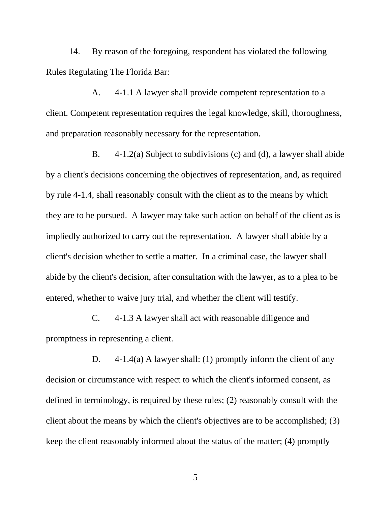14. By reason of the foregoing, respondent has violated the following Rules Regulating The Florida Bar:

A. 4-1.1 A lawyer shall provide competent representation to a client. Competent representation requires the legal knowledge, skill, thoroughness, and preparation reasonably necessary for the representation.

 B. 4-1.2(a) Subject to subdivisions (c) and (d), a lawyer shall abide impliedly authorized to carry out the representation. A lawyer shall abide by a abide by the client's decision, after consultation with the lawyer, as to a plea to be by a client's decisions concerning the objectives of representation, and, as required by rule 4-1.4, shall reasonably consult with the client as to the means by which they are to be pursued. A lawyer may take such action on behalf of the client as is client's decision whether to settle a matter. In a criminal case, the lawyer shall entered, whether to waive jury trial, and whether the client will testify.

C. 4-1.3 A lawyer shall act with reasonable diligence and promptness in representing a client.

 D. 4-1.4(a) A lawyer shall: (1) promptly inform the client of any decision or circumstance with respect to which the client's informed consent, as defined in terminology, is required by these rules; (2) reasonably consult with the client about the means by which the client's objectives are to be accomplished; (3) keep the client reasonably informed about the status of the matter; (4) promptly

5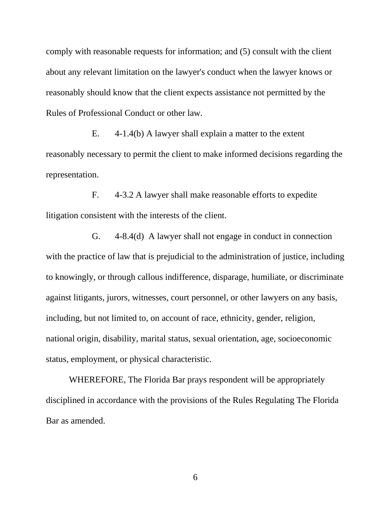about any relevant limitation on the lawyer's conduct when the lawyer knows or Rules of Professional Conduct or other law. comply with reasonable requests for information; and (5) consult with the client reasonably should know that the client expects assistance not permitted by the

E. 4-1.4(b) A lawyer shall explain a matter to the extent reasonably necessary to permit the client to make informed decisions regarding the representation.

F. 4-3.2 A lawyer shall make reasonable efforts to expedite litigation consistent with the interests of the client.

 to knowingly, or through callous indifference, disparage, humiliate, or discriminate G. 4-8.4(d) A lawyer shall not engage in conduct in connection with the practice of law that is prejudicial to the administration of justice, including against litigants, jurors, witnesses, court personnel, or other lawyers on any basis, including, but not limited to, on account of race, ethnicity, gender, religion, national origin, disability, marital status, sexual orientation, age, socioeconomic status, employment, or physical characteristic.

 WHEREFORE, The Florida Bar prays respondent will be appropriately disciplined in accordance with the provisions of the Rules Regulating The Florida Bar as amended.

6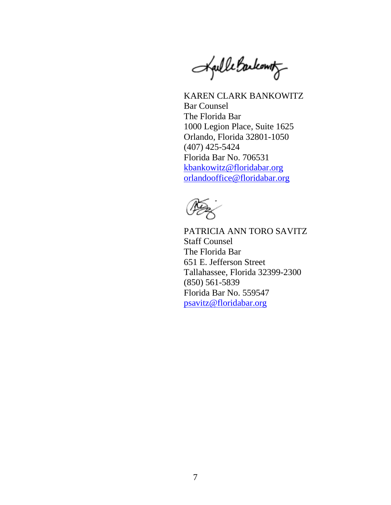Barkowitz . . *·.\_ :*  rucomo

 Florida Bar No. 706531 KAREN CLARK BANKOWITZ Bar Counsel The Florida Bar 1000 Legion Place, Suite 1625 Orlando, Florida 32801-1050 (407) 425-5424 [kbankowitz@floridabar.org](mailto:kbankowitz@floridabar.org)  [orlandooffice@floridabar.org](mailto:orlandooffice@floridabar.org) 



 Florida Bar No. 559547 PATRICIA ANN TORO SAVITZ Staff Counsel The Florida Bar 651 E. Jefferson Street Tallahassee, Florida 32399-2300 (850) 561-5839 psavitz@floridabar.org